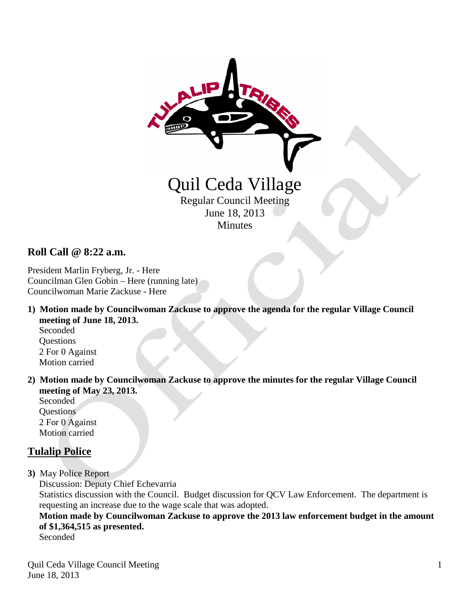

### **Roll Call @ 8:22 a.m.**

President Marlin Fryberg, Jr. - Here Councilman Glen Gobin – Here (running late) Councilwoman Marie Zackuse - Here

**1) Motion made by Councilwoman Zackuse to approve the agenda for the regular Village Council meeting of June 18, 2013.**

 Seconded **Questions**  2 For 0 Against Motion carried

**2) Motion made by Councilwoman Zackuse to approve the minutes for the regular Village Council meeting of May 23, 2013.**

 Seconded **Ouestions**  2 For 0 Against Motion carried

# **Tulalip Police**

**3)** May Police Report

Discussion: Deputy Chief Echevarria

 Statistics discussion with the Council. Budget discussion for QCV Law Enforcement. The department is requesting an increase due to the wage scale that was adopted.

 **Motion made by Councilwoman Zackuse to approve the 2013 law enforcement budget in the amount of \$1,364,515 as presented.**

Seconded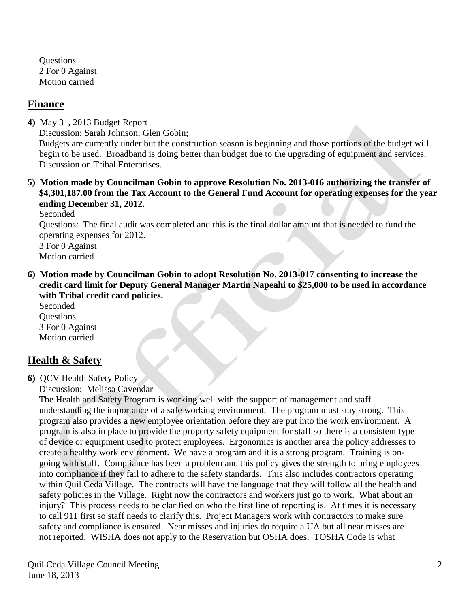**Ouestions**  2 For 0 Against Motion carried

#### **Finance**

**4)** May 31, 2013 Budget Report Discussion: Sarah Johnson; Glen Gobin; Budgets are currently under but the construction season is beginning and those portions of the budget will begin to be used. Broadband is doing better than budget due to the upgrading of equipment and services. Discussion on Tribal Enterprises.

#### **5) Motion made by Councilman Gobin to approve Resolution No. 2013-016 authorizing the transfer of \$4,301,187.00 from the Tax Account to the General Fund Account for operating expenses for the year ending December 31, 2012.**

Seconded

 Questions: The final audit was completed and this is the final dollar amount that is needed to fund the operating expenses for 2012.

 3 For 0 Against Motion carried

**6) Motion made by Councilman Gobin to adopt Resolution No. 2013-017 consenting to increase the credit card limit for Deputy General Manager Martin Napeahi to \$25,000 to be used in accordance with Tribal credit card policies.**

Seconded **Ouestions**  3 For 0 Against Motion carried

# **Health & Safety**

**6)** QCV Health Safety Policy

Discussion: Melissa Cavendar

 The Health and Safety Program is working well with the support of management and staff understanding the importance of a safe working environment. The program must stay strong. This program also provides a new employee orientation before they are put into the work environment. A program is also in place to provide the property safety equipment for staff so there is a consistent type of device or equipment used to protect employees. Ergonomics is another area the policy addresses to create a healthy work environment. We have a program and it is a strong program. Training is on going with staff. Compliance has been a problem and this policy gives the strength to bring employees into compliance if they fail to adhere to the safety standards. This also includes contractors operating within Quil Ceda Village. The contracts will have the language that they will follow all the health and safety policies in the Village. Right now the contractors and workers just go to work. What about an injury? This process needs to be clarified on who the first line of reporting is. At times it is necessary to call 911 first so staff needs to clarify this. Project Managers work with contractors to make sure safety and compliance is ensured. Near misses and injuries do require a UA but all near misses are not reported. WISHA does not apply to the Reservation but OSHA does. TOSHA Code is what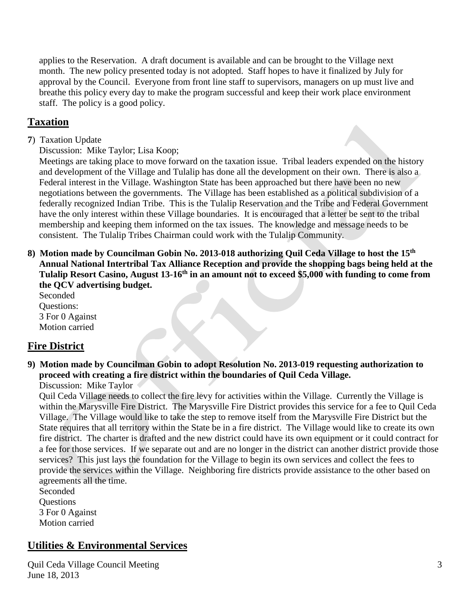applies to the Reservation. A draft document is available and can be brought to the Village next month. The new policy presented today is not adopted. Staff hopes to have it finalized by July for approval by the Council. Everyone from front line staff to supervisors, managers on up must live and breathe this policy every day to make the program successful and keep their work place environment staff. The policy is a good policy.

# **Taxation**

- **7**) Taxation Update
	- Discussion: Mike Taylor; Lisa Koop;

 Meetings are taking place to move forward on the taxation issue. Tribal leaders expended on the history and development of the Village and Tulalip has done all the development on their own. There is also a Federal interest in the Village. Washington State has been approached but there have been no new negotiations between the governments. The Village has been established as a political subdivision of a federally recognized Indian Tribe. This is the Tulalip Reservation and the Tribe and Federal Government have the only interest within these Village boundaries. It is encouraged that a letter be sent to the tribal membership and keeping them informed on the tax issues. The knowledge and message needs to be consistent. The Tulalip Tribes Chairman could work with the Tulalip Community.

**8) Motion made by Councilman Gobin No. 2013-018 authorizing Quil Ceda Village to host the 15th Annual National Intertribal Tax Alliance Reception and provide the shopping bags being held at the Tulalip Resort Casino, August 13-16th in an amount not to exceed \$5,000 with funding to come from the QCV advertising budget.**

 Seconded Questions: 3 For 0 Against Motion carried

# **Fire District**

**9) Motion made by Councilman Gobin to adopt Resolution No. 2013-019 requesting authorization to proceed with creating a fire district within the boundaries of Quil Ceda Village.**

Discussion: Mike Taylor

 Quil Ceda Village needs to collect the fire levy for activities within the Village. Currently the Village is within the Marysville Fire District. The Marysville Fire District provides this service for a fee to Quil Ceda Village. The Village would like to take the step to remove itself from the Marysville Fire District but the State requires that all territory within the State be in a fire district. The Village would like to create its own fire district. The charter is drafted and the new district could have its own equipment or it could contract for a fee for those services. If we separate out and are no longer in the district can another district provide those services? This just lays the foundation for the Village to begin its own services and collect the fees to provide the services within the Village. Neighboring fire districts provide assistance to the other based on agreements all the time.

 Seconded **Questions**  3 For 0 Against Motion carried

#### **Utilities & Environmental Services**

Quil Ceda Village Council Meeting June 18, 2013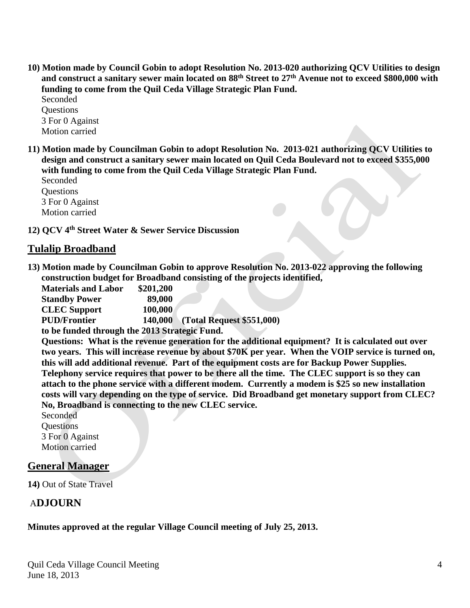**10) Motion made by Council Gobin to adopt Resolution No. 2013-020 authorizing QCV Utilities to design and construct a sanitary sewer main located on 88th Street to 27th Avenue not to exceed \$800,000 with funding to come from the Quil Ceda Village Strategic Plan Fund.**

 Seconded **Ouestions**  3 For 0 Against Motion carried

**11) Motion made by Councilman Gobin to adopt Resolution No. 2013-021 authorizing QCV Utilities to design and construct a sanitary sewer main located on Quil Ceda Boulevard not to exceed \$355,000 with funding to come from the Quil Ceda Village Strategic Plan Fund.**

 Seconded **Ouestions**  3 For 0 Against Motion carried

**12) QCV 4th Street Water & Sewer Service Discussion** 

# **Tulalip Broadband**

**13) Motion made by Councilman Gobin to approve Resolution No. 2013-022 approving the following construction budget for Broadband consisting of the projects identified,**

| <b>Materials and Labor</b>                    | \$201,200 |                                   |
|-----------------------------------------------|-----------|-----------------------------------|
| <b>Standby Power</b>                          | 89,000    |                                   |
| <b>CLEC</b> Support                           | 100,000   |                                   |
| <b>PUD/Frontier</b>                           |           | 140,000 (Total Request \$551,000) |
| to be funded through the 2013 Strategic Fund. |           |                                   |

 **Questions: What is the revenue generation for the additional equipment? It is calculated out over two years. This will increase revenue by about \$70K per year. When the VOIP service is turned on, this will add additional revenue. Part of the equipment costs are for Backup Power Supplies. Telephony service requires that power to be there all the time. The CLEC support is so they can attach to the phone service with a different modem. Currently a modem is \$25 so new installation costs will vary depending on the type of service. Did Broadband get monetary support from CLEC? No, Broadband is connecting to the new CLEC service.** 

 Seconded **Questions**  3 For 0 Against Motion carried

#### **General Manager**

**14)** Out of State Travel

# A**DJOURN**

#### **Minutes approved at the regular Village Council meeting of July 25, 2013.**